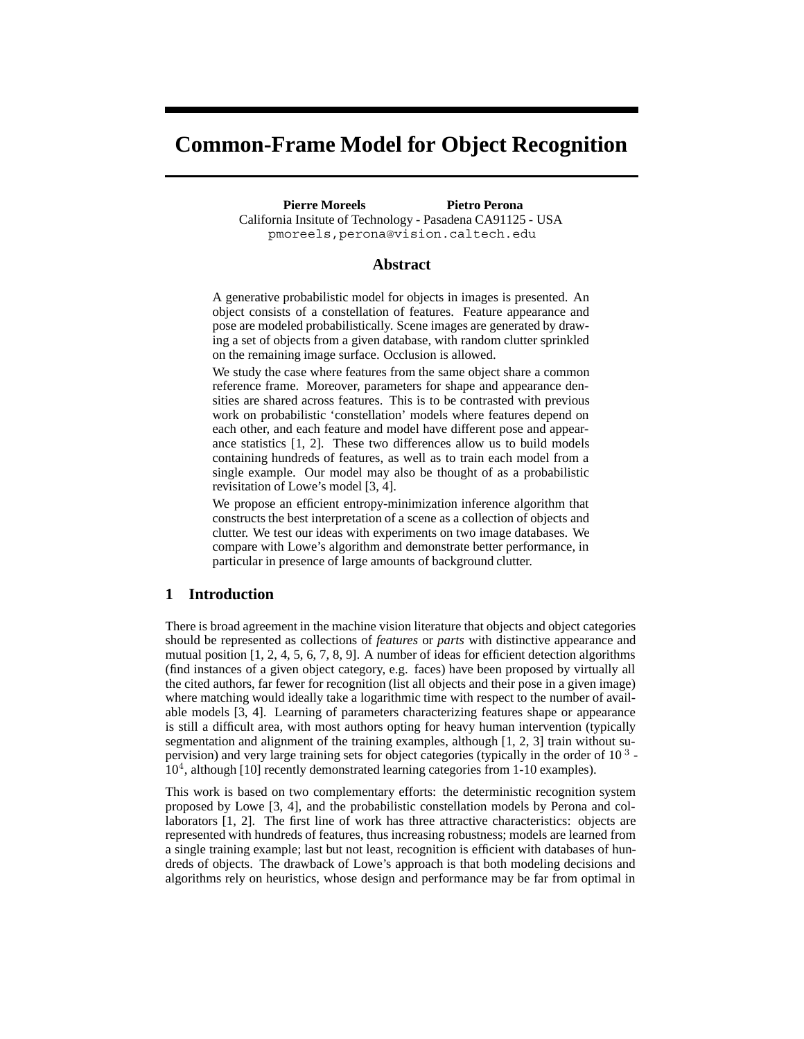# **Common-Frame Model for Object Recognition**

**Pierre Moreels Pietro Perona** California Insitute of Technology - Pasadena CA91125 - USA pmoreels,perona@vision.caltech.edu

# **Abstract**

A generative probabilistic model for objects in images is presented. An object consists of a constellation of features. Feature appearance and pose are modeled probabilistically. Scene images are generated by drawing a set of objects from a given database, with random clutter sprinkled on the remaining image surface. Occlusion is allowed.

We study the case where features from the same object share a common reference frame. Moreover, parameters for shape and appearance densities are shared across features. This is to be contrasted with previous work on probabilistic 'constellation' models where features depend on each other, and each feature and model have different pose and appearance statistics [1, 2]. These two differences allow us to build models containing hundreds of features, as well as to train each model from a single example. Our model may also be thought of as a probabilistic revisitation of Lowe's model [3, 4].

We propose an efficient entropy-minimization inference algorithm that constructs the best interpretation of a scene as a collection of objects and clutter. We test our ideas with experiments on two image databases. We compare with Lowe's algorithm and demonstrate better performance, in particular in presence of large amounts of background clutter.

# **1 Introduction**

There is broad agreement in the machine vision literature that objects and object categories should be represented as collections of *features* or *parts* with distinctive appearance and mutual position [1, 2, 4, 5, 6, 7, 8, 9]. A number of ideas for efficient detection algorithms (find instances of a given object category, e.g. faces) have been proposed by virtually all the cited authors, far fewer for recognition (list all objects and their pose in a given image) where matching would ideally take a logarithmic time with respect to the number of available models [3, 4]. Learning of parameters characterizing features shape or appearance is still a difficult area, with most authors opting for heavy human intervention (typically segmentation and alignment of the training examples, although [1, 2, 3] train without supervision) and very large training sets for object categories (typically in the order of 10 <sup>3</sup> -  $10<sup>4</sup>$ , although [10] recently demonstrated learning categories from 1-10 examples).

This work is based on two complementary efforts: the deterministic recognition system proposed by Lowe [3, 4], and the probabilistic constellation models by Perona and collaborators [1, 2]. The first line of work has three attractive characteristics: objects are represented with hundreds of features, thus increasing robustness; models are learned from a single training example; last but not least, recognition is efficient with databases of hundreds of objects. The drawback of Lowe's approach is that both modeling decisions and algorithms rely on heuristics, whose design and performance may be far from optimal in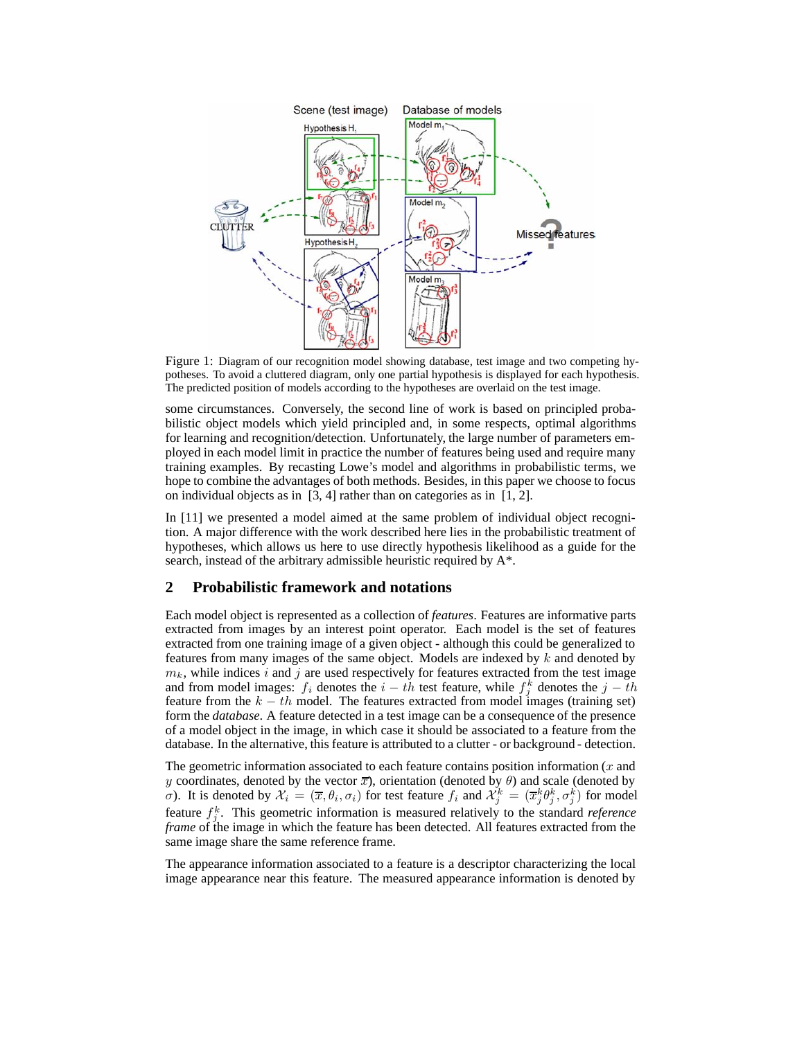

Figure 1: Diagram of our recognition model showing database, test image and two competing hypotheses. To avoid a cluttered diagram, only one partial hypothesis is displayed for each hypothesis. The predicted position of models according to the hypotheses are overlaid on the test image.

some circumstances. Conversely, the second line of work is based on principled probabilistic object models which yield principled and, in some respects, optimal algorithms for learning and recognition/detection. Unfortunately, the large number of parameters employed in each model limit in practice the number of features being used and require many training examples. By recasting Lowe's model and algorithms in probabilistic terms, we hope to combine the advantages of both methods. Besides, in this paper we choose to focus on individual objects as in [3, 4] rather than on categories as in [1, 2].

In [11] we presented a model aimed at the same problem of individual object recognition. A major difference with the work described here lies in the probabilistic treatment of hypotheses, which allows us here to use directly hypothesis likelihood as a guide for the search, instead of the arbitrary admissible heuristic required by A\*.

# **2 Probabilistic framework and notations**

Each model object is represented as a collection of *features*. Features are informative parts extracted from images by an interest point operator. Each model is the set of features extracted from one training image of a given object - although this could be generalized to features from many images of the same object. Models are indexed by  $k$  and denoted by  $m_k$ , while indices i and j are used respectively for features extracted from the test image and from model images:  $f_i$  denotes the  $i - th$  test feature, while  $f_j^k$  denotes the  $j - th$  feature from the  $k - th$  model. The features extracted from model images (training set) feature from the  $k - th$  model. The features extracted from model images (training set) form the *database*. A feature detected in a test image can be a consequence of the presence of a model object in the image, in which case it should be associated to a feature from the database. In the alternative, this feature is attributed to a clutter - or background - detection.

The geometric information associated to each feature contains position information  $(x \text{ and } y \text{)}$ y coordinates, denoted by the vector  $\overline{x}$ ), orientation (denoted by  $\theta$ ) and scale (denoted by σ). It is denoted by  $\mathcal{X}_i = (\overline{x}, \theta_i, \sigma_i)$  for test feature  $f_i$  and  $\mathcal{X}_j^k = (\overline{x}_j^k \theta_j^k, \sigma_j^k)$  for model feature  $f_j^k$ . This geometric information is measured relatively to the standard *reference*<br>frame of the image in which the feature has been detected. All features extracted from the *frame* of the image in which the feature has been detected. All features extracted from the same image share the same reference frame.

The appearance information associated to a feature is a descriptor characterizing the local image appearance near this feature. The measured appearance information is denoted by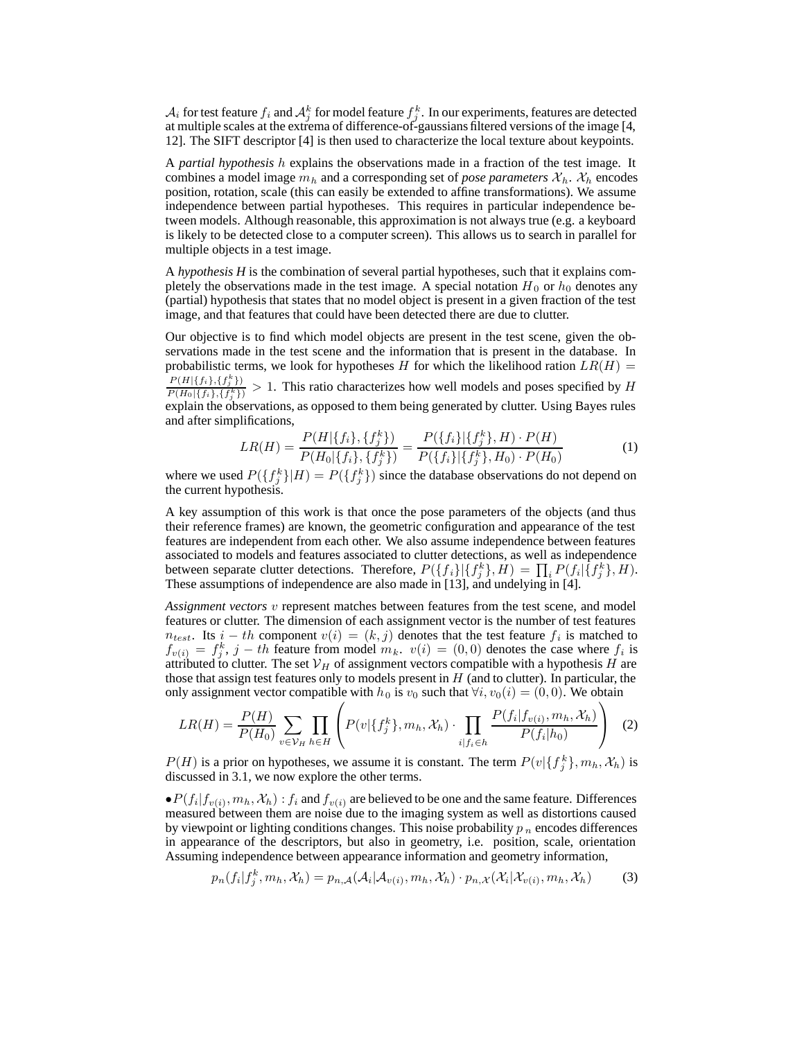$\mathcal{A}_i$  for test feature  $f_i$  and  $\mathcal{A}_j^k$  for model feature  $f_i^k$ . In our experiments, features are detected at multiple scales at the extrema of difference-of-gaussians filtered versions of the image [4] at multiple scales at the extrema of difference-of-gaussians filtered versions of the image [4, 12]. The SIFT descriptor [4] is then used to characterize the local texture about keypoints.

A *partial hypothesis* h explains the observations made in a fraction of the test image. It combines a model image  $m_h$  and a corresponding set of *pose parameters*  $\mathcal{X}_h$ .  $\mathcal{X}_h$  encodes position, rotation, scale (this can easily be extended to affine transformations). We assume independence between partial hypotheses. This requires in particular independence between models. Although reasonable, this approximation is not always true (e.g. a keyboard is likely to be detected close to a computer screen). This allows us to search in parallel for multiple objects in a test image.

A *hypothesis H* is the combination of several partial hypotheses, such that it explains completely the observations made in the test image. A special notation  $H_0$  or  $h_0$  denotes any (partial) hypothesis that states that no model object is present in a given fraction of the test image, and that features that could have been detected there are due to clutter.

Our objective is to find which model objects are present in the test scene, given the observations made in the test scene and the information that is present in the database. In probabilistic terms, we look for hypotheses H for which the likelihood ration  $LR(H)$  =  $P(H|\{f_i\}, \{f_j^k\})$  $\frac{P(H|\{f_i\},\{f_i^k\})}{P(H_0|\{f_i\},\{f_i^k\})} > 1$ . This ratio characterizes how well models and poses specified by *H* explain the observations, as opposed to them being generated by clutter. Using Bayes rules and after simplifications,

$$
LR(H) = \frac{P(H|\{f_i\}, \{f_j^k\})}{P(H_0|\{f_i\}, \{f_j^k\})} = \frac{P(\{f_i\}|\{f_j^k\}, H) \cdot P(H)}{P(\{f_i\}|\{f_j^k\}, H_0) \cdot P(H_0)}
$$
(1)

where we used  $P({f_j^k}|H) = P({f_j^k})$  since the database observations do not depend on the current hypothesis.

A key assumption of this work is that once the pose parameters of the objects (and thus their reference frames) are known, the geometric configuration and appearance of the test features are independent from each other. We also assume independence between features associated to models and features associated to clutter detections, as well as independence between separate clutter detections. Therefore,  $P({f_i}|\{f_j^k\}, H) = \prod_i P(f_i|\{f_j^k\}, H)$ .<br>These assumptions of independence are also made in [13] and undelying in [4] These assumptions of independence are also made in [13], and undelying in [4].

*Assignment vectors* v represent matches between features from the test scene, and model features or clutter. The dimension of each assignment vector is the number of test features  $n_{test}$ . Its  $i-th$  component  $v(i)=(k, j)$  denotes that the test feature  $f_i$  is matched to  $f_{v(i)} = f_j^k$ ,  $j - th$  feature from model  $m_k$ .  $v(i) = (0, 0)$  denotes the case where  $f_i$  is attributed to clutter. The set  $\mathcal{V}_{tt}$  of assignment vectors compatible with a hypothesis H are attributed to clutter. The set  $V_H$  of assignment vectors compatible with a hypothesis H are those that assign test features only to models present in  $H$  (and to clutter). In particular, the only assignment vector compatible with  $h_0$  is  $v_0$  such that  $\forall i, v_0(i) = (0, 0)$ . We obtain

$$
LR(H) = \frac{P(H)}{P(H_0)} \sum_{v \in \mathcal{V}_H} \prod_{h \in H} \left( P(v | \{f_j^k\}, m_h, \mathcal{X}_h) \cdot \prod_{i | f_i \in h} \frac{P(f_i | f_{v(i)}, m_h, \mathcal{X}_h)}{P(f_i | h_0)} \right) \tag{2}
$$

 $P(H)$  is a prior on hypotheses, we assume it is constant. The term  $P(v|\{f_j^k\}, m_h, \mathcal{X}_h)$  is discussed in 3.1, we now explore the other terms discussed in 3.1, we now explore the other terms.

 $\bullet P(f_i|f_{v(i)}, m_h, \mathcal{X}_h) : f_i$  and  $f_{v(i)}$  are believed to be one and the same feature. Differences measured between them are noise due to the imaging system as well as distortions caused by viewpoint or lighting conditions changes. This noise probability  $p_n$  encodes differences in appearance of the descriptors, but also in geometry, i.e. position, scale, orientation Assuming independence between appearance information and geometry information,

$$
p_n(f_i|f_j^k, m_h, \mathcal{X}_h) = p_{n,A}(\mathcal{A}_i|\mathcal{A}_{v(i)}, m_h, \mathcal{X}_h) \cdot p_{n,X}(\mathcal{X}_i|\mathcal{X}_{v(i)}, m_h, \mathcal{X}_h)
$$
(3)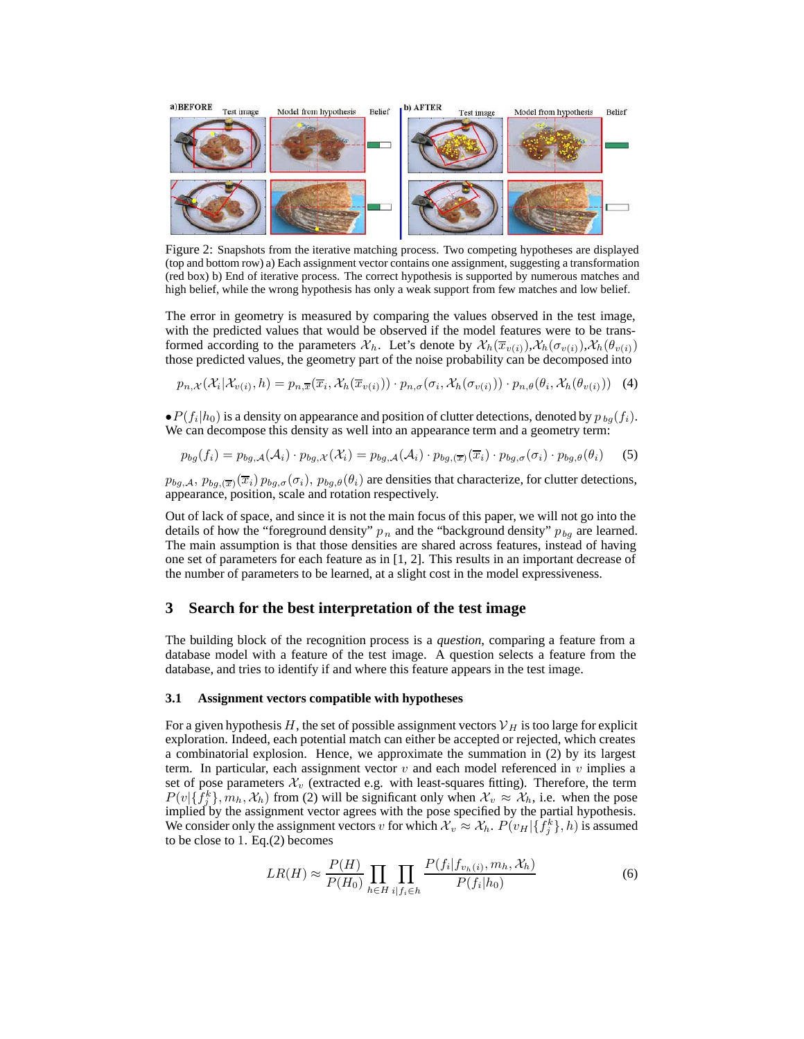

Figure 2: Snapshots from the iterative matching process. Two competing hypotheses are displayed (top and bottom row) a) Each assignment vector contains one assignment, suggesting a transformation (red box) b) End of iterative process. The correct hypothesis is supported by numerous matches and high belief, while the wrong hypothesis has only a weak support from few matches and low belief.

The error in geometry is measured by comparing the values observed in the test image, with the predicted values that would be observed if the model features were to be transformed according to the parameters  $\mathcal{X}_h$ . Let's denote by  $\mathcal{X}_h(\overline{x}_{v(i)}), \mathcal{X}_h(\sigma_{v(i)}), \mathcal{X}_h(\theta_{v(i)})$ those predicted values, the geometry part of the noise probability can be decomposed into

$$
p_{n,X}(\mathcal{X}_i|\mathcal{X}_{v(i)},h) = p_{n,\overline{x}}(\overline{x}_i,\mathcal{X}_h(\overline{x}_{v(i)})) \cdot p_{n,\sigma}(\sigma_i,\mathcal{X}_h(\sigma_{v(i)})) \cdot p_{n,\theta}(\theta_i,\mathcal{X}_h(\theta_{v(i)})) \tag{4}
$$

 $\bullet P(f_i|h_0)$  is a density on appearance and position of clutter detections, denoted by  $p_{bq}(f_i)$ . We can decompose this density as well into an appearance term and a geometry term:

$$
p_{bg}(f_i) = p_{bg,A}(\mathcal{A}_i) \cdot p_{bg,\mathcal{X}}(\mathcal{X}_i) = p_{bg,A}(\mathcal{A}_i) \cdot p_{bg,(\overline{x})}(\overline{x}_i) \cdot p_{bg,\sigma}(\sigma_i) \cdot p_{bg,\theta}(\theta_i)
$$
 (5)

 $p_{bg,A}, p_{bg,(\overline{x})}(\overline{x_i}) p_{bg,\sigma}(\sigma_i), p_{bg,\theta}(\theta_i)$  are densities that characterize, for clutter detections, appearance, position, scale and rotation respectively.

Out of lack of space, and since it is not the main focus of this paper, we will not go into the details of how the "foreground density"  $p_n$  and the "background density"  $p_{bg}$  are learned. The main assumption is that those densities are shared across features, instead of having one set of parameters for each feature as in [1, 2]. This results in an important decrease of the number of parameters to be learned, at a slight cost in the model expressiveness.

## **3 Search for the best interpretation of the test image**

The building block of the recognition process is a *question*, comparing a feature from a database model with a feature of the test image. A question selects a feature from the database, and tries to identify if and where this feature appears in the test image.

## **3.1 Assignment vectors compatible with hypotheses**

For a given hypothesis H, the set of possible assignment vectors  $V_H$  is too large for explicit exploration. Indeed, each potential match can either be accepted or rejected, which creates a combinatorial explosion. Hence, we approximate the summation in (2) by its largest term. In particular, each assignment vector  $v$  and each model referenced in  $v$  implies a set of pose parameters  $\mathcal{X}_v$  (extracted e.g. with least-squares fitting). Therefore, the term  $P(v|\{f_j^k\}, m_h, \mathcal{X}_h)$  from (2) will be significant only when  $\mathcal{X}_v \approx \mathcal{X}_h$ , i.e. when the pose implied by the assignment vector agrees with the pose specified by the partial hypothesis implied by the assignment vector agrees with the pose specified by the partial hypothesis. We consider only the assignment vectors v for which  $\mathcal{X}_v \approx \mathcal{X}_h$ .  $P(v_H | \{f_j^k\}, h)$  is assumed to be close to 1. For (2) becomes to be close to 1. Eq.(2) becomes

$$
LR(H) \approx \frac{P(H)}{P(H_0)} \prod_{h \in H} \prod_{i|f_i \in h} \frac{P(f_i|f_{v_h(i)}, m_h, \mathcal{X}_h)}{P(f_i|h_0)}
$$
(6)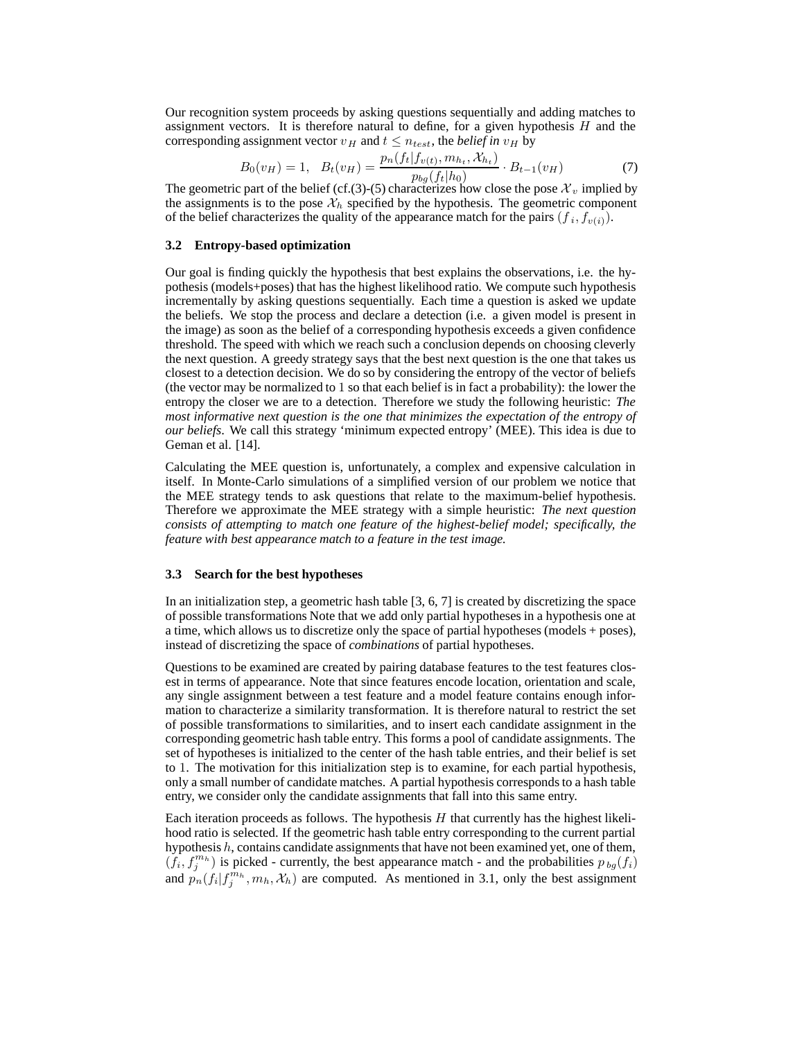Our recognition system proceeds by asking questions sequentially and adding matches to assignment vectors. It is therefore natural to define, for a given hypothesis  $H$  and the corresponding assignment vector  $v_H$  and  $t \leq n_{test}$ , the *belief in*  $v_H$  by

$$
B_0(v_H) = 1, \quad B_t(v_H) = \frac{p_n(f_t|f_{v(t)}, m_{h_t}, \mathcal{X}_{h_t})}{p_{bg}(f_t|h_0)} \cdot B_{t-1}(v_H)
$$
(7)  
of the belief (cf (3)-(5) characterizes how close the pose  $\mathcal{X}_r$  implied by

The geometric part of the belief (cf.(3)-(5) characterizes how close the pose  $\mathcal{X}_v$  implied by the assignments is to the pose  $\mathcal{X}_v$  specified by the hypothesis. The geometric component the assignments is to the pose  $\mathcal{X}_h$  specified by the hypothesis. The geometric component of the belief characterizes the quality of the appearance match for the pairs  $(f_i, f_{v(i)})$ .

## **3.2 Entropy-based optimization**

Our goal is finding quickly the hypothesis that best explains the observations, i.e. the hypothesis (models+poses) that has the highest likelihood ratio. We compute such hypothesis incrementally by asking questions sequentially. Each time a question is asked we update the beliefs. We stop the process and declare a detection (i.e. a given model is present in the image) as soon as the belief of a corresponding hypothesis exceeds a given confidence threshold. The speed with which we reach such a conclusion depends on choosing cleverly the next question. A greedy strategy says that the best next question is the one that takes us closest to a detection decision. We do so by considering the entropy of the vector of beliefs (the vector may be normalized to 1 so that each belief is in fact a probability): the lower the entropy the closer we are to a detection. Therefore we study the following heuristic: *The most informative next question is the one that minimizes the expectation of the entropy of our beliefs*. We call this strategy 'minimum expected entropy' (MEE). This idea is due to Geman et al. [14].

Calculating the MEE question is, unfortunately, a complex and expensive calculation in itself. In Monte-Carlo simulations of a simplified version of our problem we notice that the MEE strategy tends to ask questions that relate to the maximum-belief hypothesis. Therefore we approximate the MEE strategy with a simple heuristic: *The next question consists of attempting to match one feature of the highest-belief model; specifically, the feature with best appearance match to a feature in the test image.*

#### **3.3 Search for the best hypotheses**

In an initialization step, a geometric hash table [3, 6, 7] is created by discretizing the space of possible transformations Note that we add only partial hypotheses in a hypothesis one at a time, which allows us to discretize only the space of partial hypotheses (models + poses), instead of discretizing the space of *combinations* of partial hypotheses.

Questions to be examined are created by pairing database features to the test features closest in terms of appearance. Note that since features encode location, orientation and scale, any single assignment between a test feature and a model feature contains enough information to characterize a similarity transformation. It is therefore natural to restrict the set of possible transformations to similarities, and to insert each candidate assignment in the corresponding geometric hash table entry. This forms a pool of candidate assignments. The set of hypotheses is initialized to the center of the hash table entries, and their belief is set to 1. The motivation for this initialization step is to examine, for each partial hypothesis, only a small number of candidate matches. A partial hypothesis corresponds to a hash table entry, we consider only the candidate assignments that fall into this same entry.

Each iteration proceeds as follows. The hypothesis  $H$  that currently has the highest likelihood ratio is selected. If the geometric hash table entry corresponding to the current partial hypothesis  $h$ , contains candidate assignments that have not been examined yet, one of them,  $(f_i, f_j^{m_h})$  is picked - currently, the best appearance match - and the probabilities  $p_{bg}(f_i)$ <br>and  $p_{g}(f_i | f^{m_h}, m_i, X_i)$  are computed. As mentioned in 3.1, only the best assignment and  $p_n(f_i|f_j^{m_h}, m_h, \mathcal{X}_h)$  are computed. As mentioned in 3.1, only the best assignment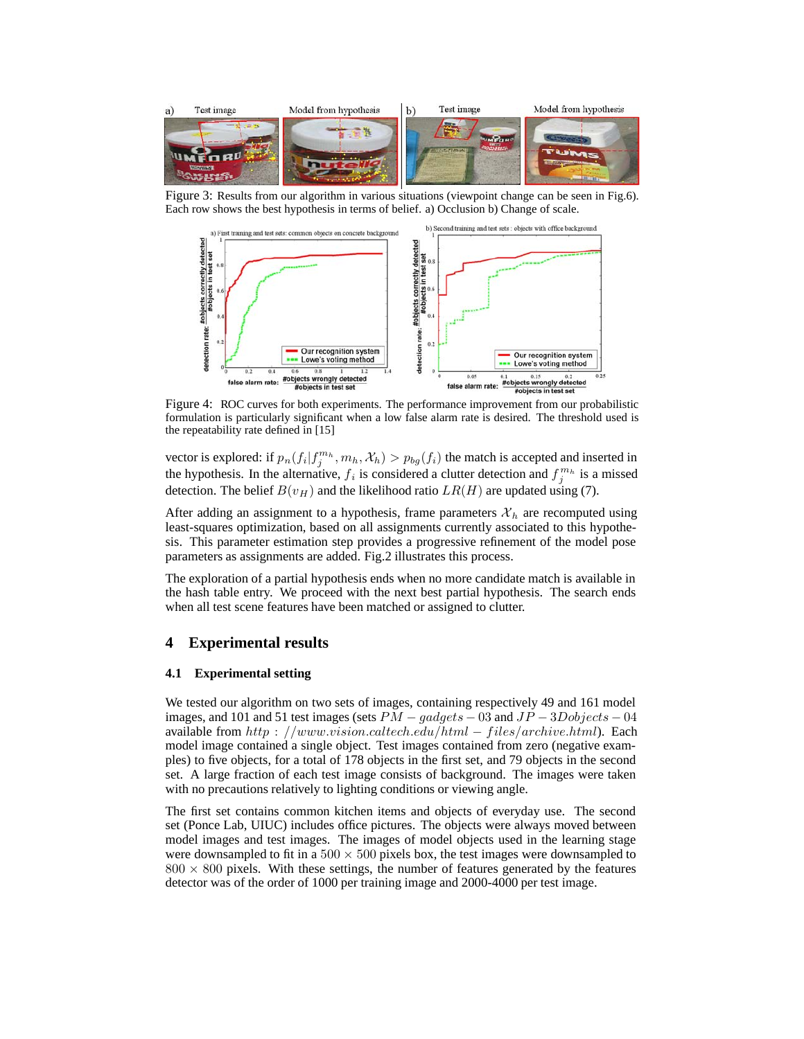

Figure 3: Results from our algorithm in various situations (viewpoint change can be seen in Fig.6). Each row shows the best hypothesis in terms of belief. a) Occlusion b) Change of scale.



Figure 4: ROC curves for both experiments. The performance improvement from our probabilistic formulation is particularly significant when a low false alarm rate is desired. The threshold used is the repeatability rate defined in [15]

vector is explored: if  $p_n(f_i|f_j^{m_h}, m_h, \mathcal{X}_h) > p_{bg}(f_i)$  the match is accepted and inserted in<br>the hypothesis. In the elternative, f, is considered a clutter detection and  $f_{m_h}^{m_h}$  is a missed the hypothesis. In the alternative,  $f_i$  is considered a clutter detection and  $f_j^{m_h}$  is a missed detection. The belief  $B(u_{xx})$  and the likelihood ratio  $I_p(H)$  are undeted using (7) detection. The belief  $B(v_H)$  and the likelihood ratio  $LR(H)$  are updated using (7).

After adding an assignment to a hypothesis, frame parameters  $\mathcal{X}_h$  are recomputed using least-squares optimization, based on all assignments currently associated to this hypothesis. This parameter estimation step provides a progressive refinement of the model pose parameters as assignments are added. Fig.2 illustrates this process.

The exploration of a partial hypothesis ends when no more candidate match is available in the hash table entry. We proceed with the next best partial hypothesis. The search ends when all test scene features have been matched or assigned to clutter.

# **4 Experimental results**

## **4.1 Experimental setting**

We tested our algorithm on two sets of images, containing respectively 49 and 161 model images, and 101 and 51 test images (sets  $PM - gaagets - 03$  and  $JP - 3Dobjects - 04$ available from http : //www.vision.caltech.edu/html – files/archive.html). Each model image contained a single object. Test images contained from zero (negative examples) to five objects, for a total of 178 objects in the first set, and 79 objects in the second set. A large fraction of each test image consists of background. The images were taken with no precautions relatively to lighting conditions or viewing angle.

The first set contains common kitchen items and objects of everyday use. The second set (Ponce Lab, UIUC) includes office pictures. The objects were always moved between model images and test images. The images of model objects used in the learning stage were downsampled to fit in a  $500 \times 500$  pixels box, the test images were downsampled to  $800 \times 800$  pixels. With these settings, the number of features generated by the features detector was of the order of 1000 per training image and 2000-4000 per test image.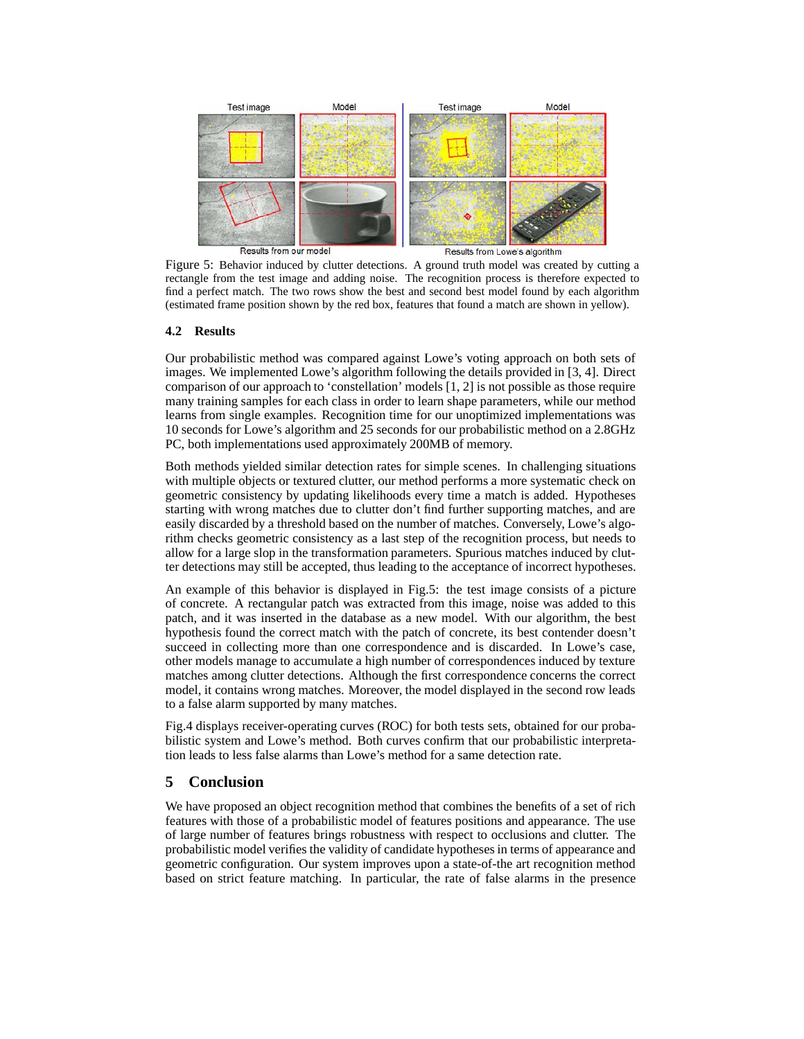

Figure 5: Behavior induced by clutter detections. A ground truth model was created by cutting a rectangle from the test image and adding noise. The recognition process is therefore expected to find a perfect match. The two rows show the best and second best model found by each algorithm (estimated frame position shown by the red box, features that found a match are shown in yellow).

## **4.2 Results**

Our probabilistic method was compared against Lowe's voting approach on both sets of images. We implemented Lowe's algorithm following the details provided in [3, 4]. Direct comparison of our approach to 'constellation' models [1, 2] is not possible as those require many training samples for each class in order to learn shape parameters, while our method learns from single examples. Recognition time for our unoptimized implementations was 10 seconds for Lowe's algorithm and 25 seconds for our probabilistic method on a 2.8GHz PC, both implementations used approximately 200MB of memory.

Both methods yielded similar detection rates for simple scenes. In challenging situations with multiple objects or textured clutter, our method performs a more systematic check on geometric consistency by updating likelihoods every time a match is added. Hypotheses starting with wrong matches due to clutter don't find further supporting matches, and are easily discarded by a threshold based on the number of matches. Conversely, Lowe's algorithm checks geometric consistency as a last step of the recognition process, but needs to allow for a large slop in the transformation parameters. Spurious matches induced by clutter detections may still be accepted, thus leading to the acceptance of incorrect hypotheses.

An example of this behavior is displayed in Fig.5: the test image consists of a picture of concrete. A rectangular patch was extracted from this image, noise was added to this patch, and it was inserted in the database as a new model. With our algorithm, the best hypothesis found the correct match with the patch of concrete, its best contender doesn't succeed in collecting more than one correspondence and is discarded. In Lowe's case, other models manage to accumulate a high number of correspondences induced by texture matches among clutter detections. Although the first correspondence concerns the correct model, it contains wrong matches. Moreover, the model displayed in the second row leads to a false alarm supported by many matches.

Fig.4 displays receiver-operating curves (ROC) for both tests sets, obtained for our probabilistic system and Lowe's method. Both curves confirm that our probabilistic interpretation leads to less false alarms than Lowe's method for a same detection rate.

# **5 Conclusion**

We have proposed an object recognition method that combines the benefits of a set of rich features with those of a probabilistic model of features positions and appearance. The use of large number of features brings robustness with respect to occlusions and clutter. The probabilistic model verifies the validity of candidate hypotheses in terms of appearance and geometric configuration. Our system improves upon a state-of-the art recognition method based on strict feature matching. In particular, the rate of false alarms in the presence